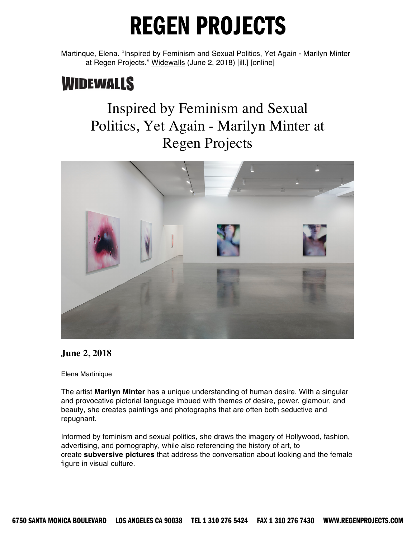Martinque, Elena. "Inspired by Feminism and Sexual Politics, Yet Again - Marilyn Minter at Regen Projects." Widewalls (June 2, 2018) [ill.] [online]

### **WIDEWALLS**

#### Inspired by Feminism and Sexual Politics, Yet Again - Marilyn Minter at Regen Projects



#### **June 2, 2018**

Elena Martinique

The artist **Marilyn Minter** has a unique understanding of human desire. With a singular and provocative pictorial language imbued with themes of desire, power, glamour, and beauty, she creates paintings and photographs that are often both seductive and repugnant.

Informed by feminism and sexual politics, she draws the imagery of Hollywood, fashion, advertising, and pornography, while also referencing the history of art, to create **subversive pictures** that address the conversation about looking and the female figure in visual culture.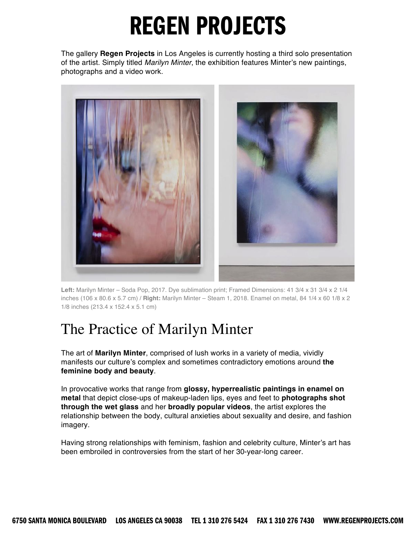The gallery **Regen Projects** in Los Angeles is currently hosting a third solo presentation of the artist. Simply titled *Marilyn Minter*, the exhibition features Minter's new paintings, photographs and a video work.



**Left:** Marilyn Minter – Soda Pop, 2017. Dye sublimation print; Framed Dimensions: 41 3/4 x 31 3/4 x 2 1/4 inches (106 x 80.6 x 5.7 cm) / **Right:** Marilyn Minter – Steam 1, 2018. Enamel on metal, 84 1/4 x 60 1/8 x 2 1/8 inches (213.4 x 152.4 x 5.1 cm)

### The Practice of Marilyn Minter

The art of **Marilyn Minter**, comprised of lush works in a variety of media, vividly manifests our culture's complex and sometimes contradictory emotions around **the feminine body and beauty**.

In provocative works that range from **glossy, hyperrealistic paintings in enamel on metal** that depict close-ups of makeup-laden lips, eyes and feet to **photographs shot through the wet glass** and her **broadly popular videos**, the artist explores the relationship between the body, cultural anxieties about sexuality and desire, and fashion imagery.

Having strong relationships with feminism, fashion and celebrity culture, Minter's art has been embroiled in controversies from the start of her 30-year-long career.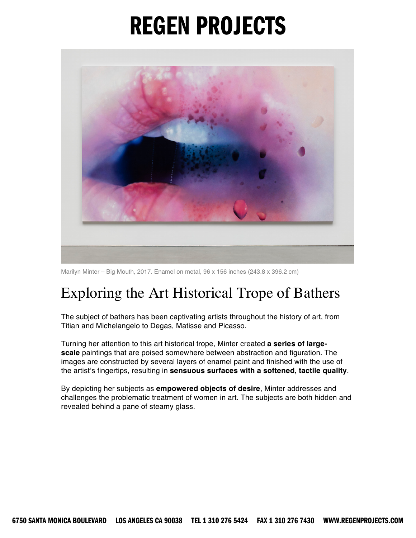

Marilyn Minter – Big Mouth, 2017. Enamel on metal, 96 x 156 inches (243.8 x 396.2 cm)

### Exploring the Art Historical Trope of Bathers

The subject of bathers has been captivating artists throughout the history of art, from Titian and Michelangelo to Degas, Matisse and Picasso.

Turning her attention to this art historical trope, Minter created **a series of largescale** paintings that are poised somewhere between abstraction and figuration. The images are constructed by several layers of enamel paint and finished with the use of the artist's fingertips, resulting in **sensuous surfaces with a softened, tactile quality**.

By depicting her subjects as **empowered objects of desire**, Minter addresses and challenges the problematic treatment of women in art. The subjects are both hidden and revealed behind a pane of steamy glass.